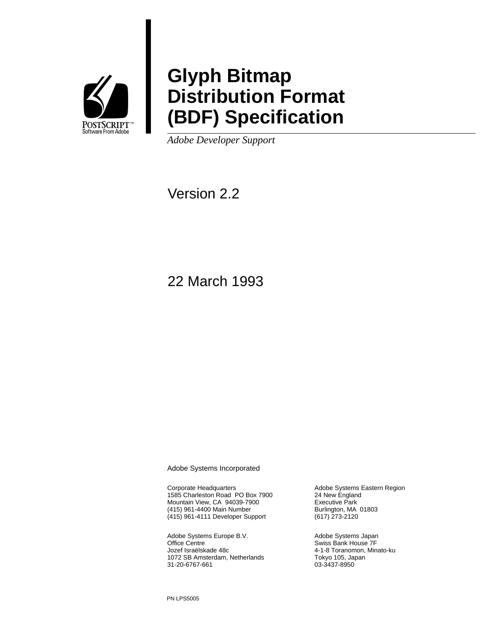

# **Glyph Bitmap Distribution Format (BDF) Specification**

*Adobe Developer Support*

Version 2.2

22 March 1993

Adobe Systems Incorporated

Corporate Headquarters 1585 Charleston Road PO Box 7900 Mountain View, CA 94039-7900 (415) 961-4400 Main Number (415) 961-4111 Developer Support

Adobe Systems Europe B.V. Office Centre Jozef Israëlskade 48c 1072 SB Amsterdam, Netherlands 31-20-6767-661

Adobe Systems Eastern Region 24 New England Executive Park Burlington, MA 01803 (617) 273-2120

Adobe Systems Japan Swiss Bank House 7F 4-1-8 Toranomon, Minato-ku Tokyo 105, Japan 03-3437-8950

PN LPS5005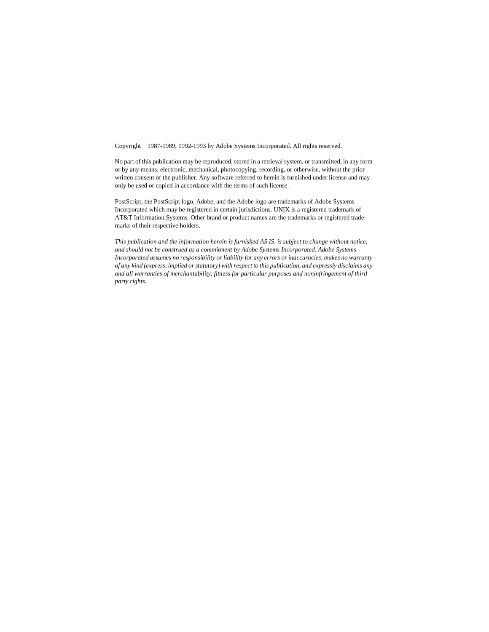Copyright 1987-1989, 1992-1993 by Adobe Systems Incorporated. All rights reserved.

No part of this publication may be reproduced, stored in a retrieval system, or transmitted, in any form or by any means, electronic, mechanical, photocopying, recording, or otherwise, without the prior written consent of the publisher. Any software referred to herein is furnished under license and may only be used or copied in accordance with the terms of such license.

PostScript, the PostScript logo, Adobe, and the Adobe logo are trademarks of Adobe Systems Incorporated which may be registered in certain jurisdictions. UNIX is a registered trademark of AT&T Information Systems. Other brand or product names are the trademarks or registered trademarks of their respective holders.

*This publication and the information herein is furnished AS IS, is subject to change without notice, and should not be construed as a commitment by Adobe Systems Incorporated. Adobe Systems Incorporated assumes no responsibility or liability for any errors or inaccuracies, makes no warranty of any kind (express, implied or statutory) with respect to this publication, and expressly disclaims any and all warranties of merchantability, fitness for particular purposes and noninfringement of third party rights.*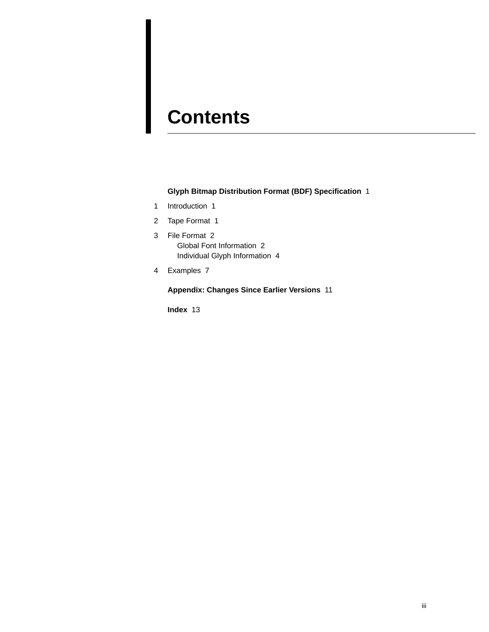# **Contents**

**Glyph Bitmap Distribution Format (BDF) Specification** 1

- 1 Introduction 1
- 2 Tape Format 1
- 3 File Format 2 Global Font Information 2 Individual Glyph Information 4
- 4 Examples 7

**Appendix: Changes Since Earlier Versions** 11

**Index** 13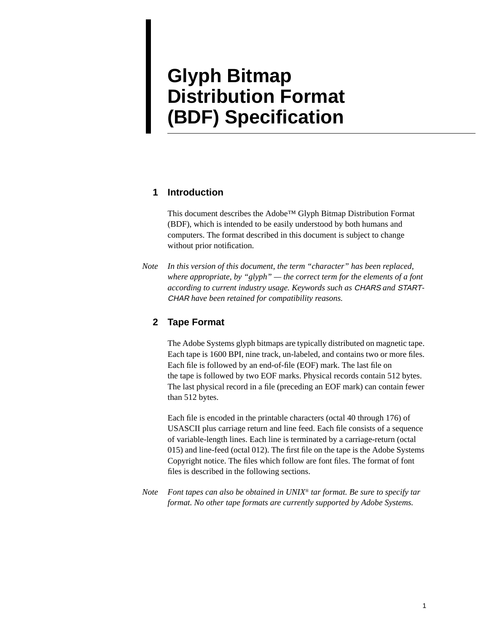# **Glyph Bitmap Distribution Format (BDF) Specification**

### **1 Introduction**

This document describes the Adobe™ Glyph Bitmap Distribution Format (BDF), which is intended to be easily understood by both humans and computers. The format described in this document is subject to change without prior notification.

*Note In this version of this document, the term "character" has been replaced, where appropriate, by "glyph" — the correct term for the elements of a font according to current industry usage. Keywords such as* CHARS *and* START-CHAR *have been retained for compatibility reasons.*

# **2 Tape Format**

The Adobe Systems glyph bitmaps are typically distributed on magnetic tape. Each tape is 1600 BPI, nine track, un-labeled, and contains two or more files. Each file is followed by an end-of-file (EOF) mark. The last file on the tape is followed by two EOF marks. Physical records contain 512 bytes. The last physical record in a file (preceding an EOF mark) can contain fewer than 512 bytes.

Each file is encoded in the printable characters (octal 40 through 176) of USASCII plus carriage return and line feed. Each file consists of a sequence of variable-length lines. Each line is terminated by a carriage-return (octal 015) and line-feed (octal 012). The first file on the tape is the Adobe Systems Copyright notice. The files which follow are font files. The format of font files is described in the following sections.

*Note Font tapes can also be obtained in UNIX*® *tar format. Be sure to specify tar format. No other tape formats are currently supported by Adobe Systems.*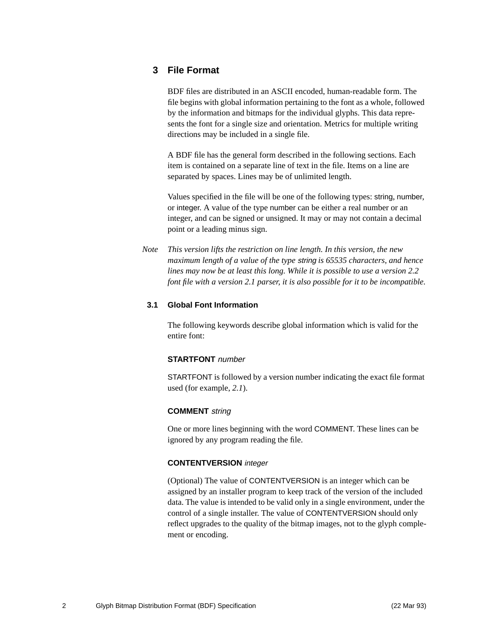### **3 File Format**

BDF files are distributed in an ASCII encoded, human-readable form. The file begins with global information pertaining to the font as a whole, followed by the information and bitmaps for the individual glyphs. This data represents the font for a single size and orientation. Metrics for multiple writing directions may be included in a single file.

A BDF file has the general form described in the following sections. Each item is contained on a separate line of text in the file. Items on a line are separated by spaces. Lines may be of unlimited length.

Values specified in the file will be one of the following types: string, number, or integer. A value of the type number can be either a real number or an integer, and can be signed or unsigned. It may or may not contain a decimal point or a leading minus sign.

*Note This version lifts the restriction on line length. In this version, the new maximum length of a value of the type* string *is 65535 characters, and hence lines may now be at least this long. While it is possible to use a version 2.2 font file with a version 2.1 parser, it is also possible for it to be incompatible.*

#### **3.1 Global Font Information**

The following keywords describe global information which is valid for the entire font:

#### **STARTFONT** number

STARTFONT is followed by a version number indicating the exact file format used (for example, *2.1*).

#### **COMMENT** string

One or more lines beginning with the word COMMENT. These lines can be ignored by any program reading the file.

### **CONTENTVERSION** integer

(Optional) The value of CONTENTVERSION is an integer which can be assigned by an installer program to keep track of the version of the included data. The value is intended to be valid only in a single environment, under the control of a single installer. The value of CONTENTVERSION should only reflect upgrades to the quality of the bitmap images, not to the glyph complement or encoding.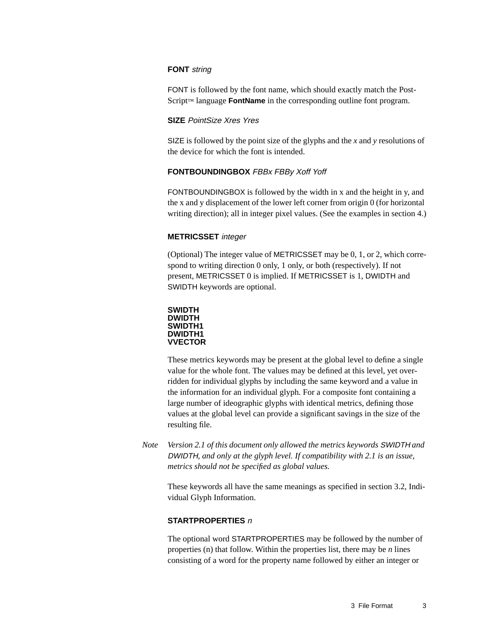#### **FONT** string

FONT is followed by the font name, which should exactly match the Post-Script<sup>™</sup> language **FontName** in the corresponding outline font program.

#### **SIZE** PointSize Xres Yres

SIZE is followed by the point size of the glyphs and the *x* and *y* resolutions of the device for which the font is intended.

#### **FONTBOUNDINGBOX** FBBx FBBy Xoff Yoff

FONTBOUNDINGBOX is followed by the width in x and the height in y, and the x and y displacement of the lower left corner from origin 0 (for horizontal writing direction); all in integer pixel values. (See the examples in section 4.)

#### **METRICSSET** integer

(Optional) The integer value of METRICSSET may be 0, 1, or 2, which correspond to writing direction 0 only, 1 only, or both (respectively). If not present, METRICSSET 0 is implied. If METRICSSET is 1, DWIDTH and SWIDTH keywords are optional.



These metrics keywords may be present at the global level to define a single value for the whole font. The values may be defined at this level, yet overridden for individual glyphs by including the same keyword and a value in the information for an individual glyph. For a composite font containing a large number of ideographic glyphs with identical metrics, defining those values at the global level can provide a significant savings in the size of the resulting file.

*Note Version 2.1 of this document only allowed the metrics keywords* SWIDTH *and* DWIDTH*, and only at the glyph level. If compatibility with 2.1 is an issue, metrics should not be specified as global values.*

These keywords all have the same meanings as specified in section 3.2, Individual Glyph Information.

#### **STARTPROPERTIES** <sup>n</sup>

The optional word STARTPROPERTIES may be followed by the number of properties (n) that follow. Within the properties list, there may be *n* lines consisting of a word for the property name followed by either an integer or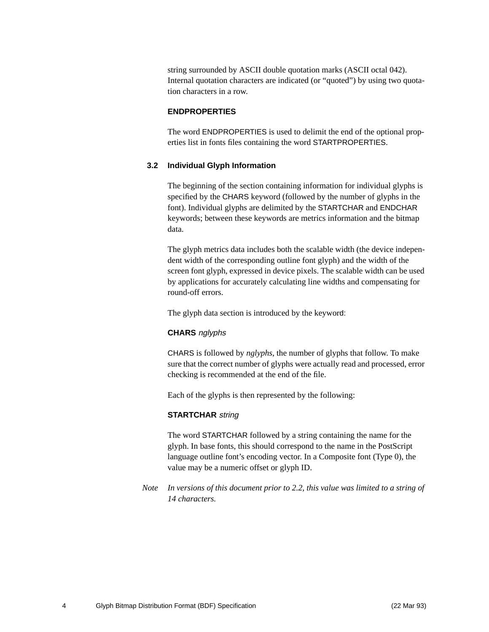string surrounded by ASCII double quotation marks (ASCII octal 042). Internal quotation characters are indicated (or "quoted") by using two quotation characters in a row.

#### **ENDPROPERTIES**

The word ENDPROPERTIES is used to delimit the end of the optional properties list in fonts files containing the word STARTPROPERTIES.

#### **3.2 Individual Glyph Information**

The beginning of the section containing information for individual glyphs is specified by the CHARS keyword (followed by the number of glyphs in the font). Individual glyphs are delimited by the STARTCHAR and ENDCHAR keywords; between these keywords are metrics information and the bitmap data.

The glyph metrics data includes both the scalable width (the device independent width of the corresponding outline font glyph) and the width of the screen font glyph, expressed in device pixels. The scalable width can be used by applications for accurately calculating line widths and compensating for round-off errors.

The glyph data section is introduced by the keyword:

#### **CHARS** nglyphs

CHARS is followed by *nglyphs*, the number of glyphs that follow. To make sure that the correct number of glyphs were actually read and processed, error checking is recommended at the end of the file.

Each of the glyphs is then represented by the following:

#### **STARTCHAR** string

The word STARTCHAR followed by a string containing the name for the glyph. In base fonts, this should correspond to the name in the PostScript language outline font's encoding vector. In a Composite font (Type 0), the value may be a numeric offset or glyph ID.

*Note In versions of this document prior to 2.2, this value was limited to a string of 14 characters.*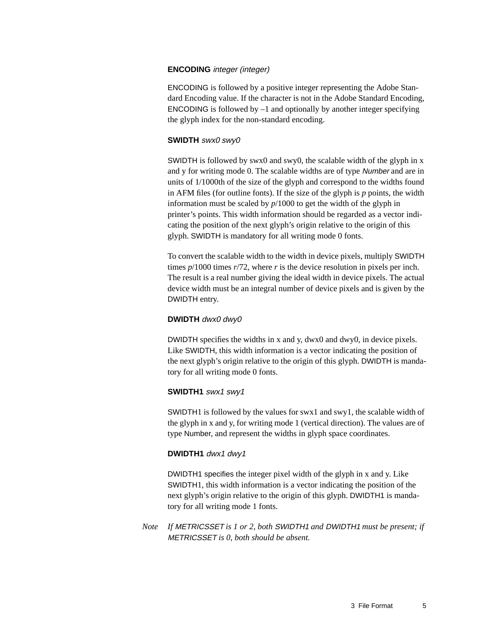#### **ENCODING** integer (integer)

ENCODING is followed by a positive integer representing the Adobe Standard Encoding value. If the character is not in the Adobe Standard Encoding, **ENCODING** is followed by  $-1$  and optionally by another integer specifying the glyph index for the non-standard encoding.

#### **SWIDTH** swx0 swy0

SWIDTH is followed by swx0 and swy0, the scalable width of the glyph in x and y for writing mode 0. The scalable widths are of type Number and are in units of 1/1000th of the size of the glyph and correspond to the widths found in AFM files (for outline fonts). If the size of the glyph is *p* points, the width information must be scaled by *p*/1000 to get the width of the glyph in printer's points. This width information should be regarded as a vector indicating the position of the next glyph's origin relative to the origin of this glyph. SWIDTH is mandatory for all writing mode 0 fonts.

To convert the scalable width to the width in device pixels, multiply SWIDTH times  $p/1000$  times  $r/72$ , where  $r$  is the device resolution in pixels per inch. The result is a real number giving the ideal width in device pixels. The actual device width must be an integral number of device pixels and is given by the DWIDTH entry.

#### **DWIDTH** dwx0 dwy0

DWIDTH specifies the widths in x and y, dwx0 and dwy0, in device pixels. Like SWIDTH, this width information is a vector indicating the position of the next glyph's origin relative to the origin of this glyph. DWIDTH is mandatory for all writing mode 0 fonts.

#### **SWIDTH1** swx1 swy1

SWIDTH1 is followed by the values for swx1 and swy1, the scalable width of the glyph in x and y, for writing mode 1 (vertical direction). The values are of type Number, and represent the widths in glyph space coordinates.

#### **DWIDTH1** dwx1 dwy1

DWIDTH1 specifies the integer pixel width of the glyph in x and y. Like SWIDTH1, this width information is a vector indicating the position of the next glyph's origin relative to the origin of this glyph. DWIDTH1 is mandatory for all writing mode 1 fonts.

*Note If* METRICSSET *is 1 or 2, both* SWIDTH1 *and* DWIDTH1 *must be present; if* METRICSSET *is 0, both should be absent.*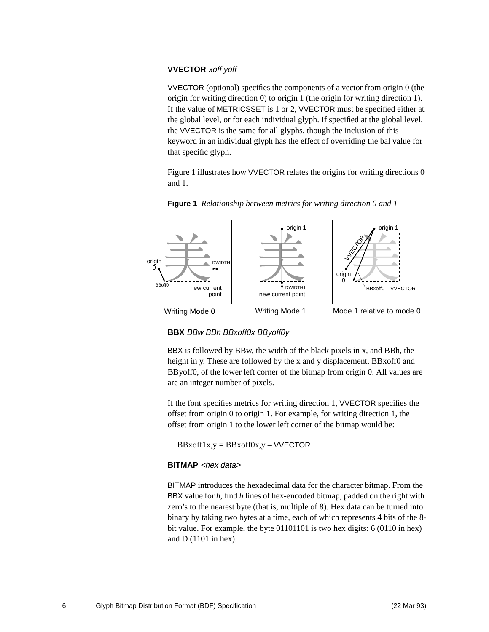#### **VVECTOR** xoff yoff

VVECTOR (optional) specifies the components of a vector from origin 0 (the origin for writing direction 0) to origin 1 (the origin for writing direction 1). If the value of METRICSSET is 1 or 2, VVECTOR must be specified either at the global level, or for each individual glyph. If specified at the global level, the VVECTOR is the same for all glyphs, though the inclusion of this keyword in an individual glyph has the effect of overriding the bal value for that specific glyph.

Figure 1 illustrates how VVECTOR relates the origins for writing directions 0 and 1.



**Figure 1** *Relationship between metrics for writing direction 0 and 1*

**BBX** BBw BBh BBxoff0x BByoff0y

BBX is followed by BBw, the width of the black pixels in x, and BBh, the height in y. These are followed by the x and y displacement, BBxoff0 and BByoff0, of the lower left corner of the bitmap from origin 0. All values are are an integer number of pixels.

If the font specifies metrics for writing direction 1, VVECTOR specifies the offset from origin 0 to origin 1. For example, for writing direction 1, the offset from origin 1 to the lower left corner of the bitmap would be:

 $BBxoff1x,y = BBxoff0x,y - VVECTOR$ 

#### **BITMAP** <hex data>

BITMAP introduces the hexadecimal data for the character bitmap. From the BBX value for *h*, find *h* lines of hex-encoded bitmap, padded on the right with zero's to the nearest byte (that is, multiple of 8). Hex data can be turned into binary by taking two bytes at a time, each of which represents 4 bits of the 8 bit value. For example, the byte 01101101 is two hex digits: 6 (0110 in hex) and D (1101 in hex).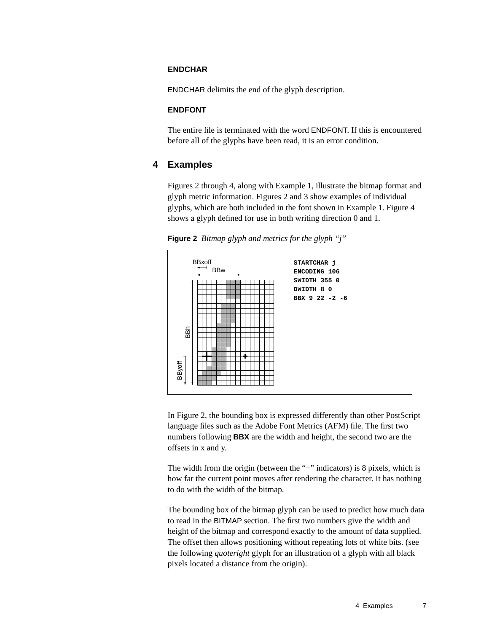#### **ENDCHAR**

ENDCHAR delimits the end of the glyph description.

#### **ENDFONT**

The entire file is terminated with the word ENDFONT. If this is encountered before all of the glyphs have been read, it is an error condition.

#### **4 Examples**

Figures 2 through 4, along with Example 1, illustrate the bitmap format and glyph metric information. Figures 2 and 3 show examples of individual glyphs, which are both included in the font shown in Example 1. Figure 4 shows a glyph defined for use in both writing direction 0 and 1.

**Figure 2** *Bitmap glyph and metrics for the glyph "j"*



In Figure 2, the bounding box is expressed differently than other PostScript language files such as the Adobe Font Metrics (AFM) file. The first two numbers following **BBX** are the width and height, the second two are the offsets in x and y.

The width from the origin (between the "+" indicators) is 8 pixels, which is how far the current point moves after rendering the character. It has nothing to do with the width of the bitmap.

The bounding box of the bitmap glyph can be used to predict how much data to read in the BITMAP section. The first two numbers give the width and height of the bitmap and correspond exactly to the amount of data supplied. The offset then allows positioning without repeating lots of white bits. (see the following *quoteright* glyph for an illustration of a glyph with all black pixels located a distance from the origin).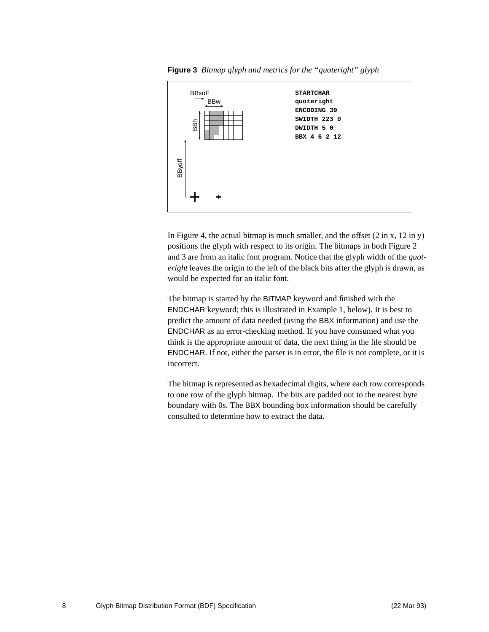



In Figure 4, the actual bitmap is much smaller, and the offset  $(2 \text{ in } x, 12 \text{ in } y)$ positions the glyph with respect to its origin. The bitmaps in both Figure 2 and 3 are from an italic font program. Notice that the glyph width of the *quoteright* leaves the origin to the left of the black bits after the glyph is drawn, as would be expected for an italic font.

The bitmap is started by the BITMAP keyword and finished with the ENDCHAR keyword; this is illustrated in Example 1, below). It is best to predict the amount of data needed (using the BBX information) and use the ENDCHAR as an error-checking method. If you have consumed what you think is the appropriate amount of data, the next thing in the file should be ENDCHAR. If not, either the parser is in error, the file is not complete, or it is incorrect.

The bitmap is represented as hexadecimal digits, where each row corresponds to one row of the glyph bitmap. The bits are padded out to the nearest byte boundary with 0s. The BBX bounding box information should be carefully consulted to determine how to extract the data.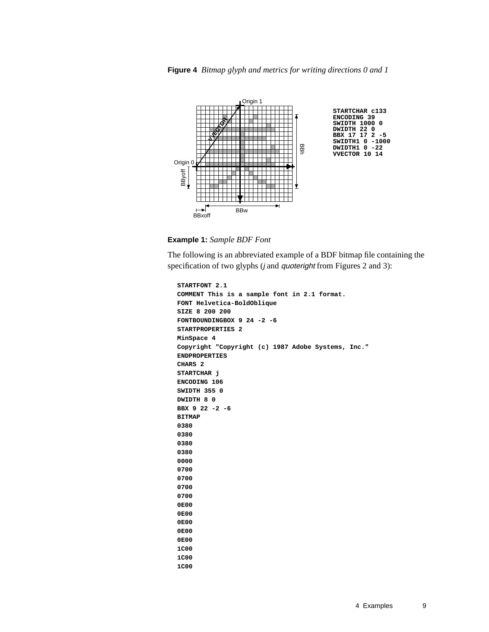

**Example 1:** *Sample BDF Font*

The following is an abbreviated example of a BDF bitmap file containing the specification of two glyphs (*j* and *quoteright* from Figures 2 and 3):

```
STARTFONT 2.1
COMMENT This is a sample font in 2.1 format.
FONT Helvetica-BoldOblique
SIZE 8 200 200
FONTBOUNDINGBOX 9 24 -2 -6
STARTPROPERTIES 2
MinSpace 4
Copyright "Copyright (c) 1987 Adobe Systems, Inc."
ENDPROPERTIES
CHARS 2
STARTCHAR j
ENCODING 106
SWIDTH 355 0
DWIDTH 8 0
BBX 9 22 -2 -6
BITMAP
0380
0380
0380
0380
0000
0700
0700
0700
0700
0E00
0E00
0E00
0E00
0E00
1C00
1C00
1C00
```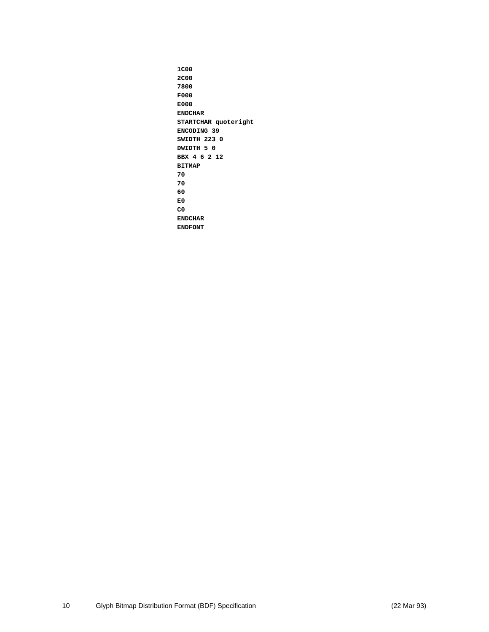**1C00 2C00 7800 F000 E000 ENDCHAR STARTCHAR quoteright ENCODING 39 SWIDTH 223 0 DWIDTH 5 0 BBX 4 6 2 12 BITMAP 70 70 60 E0 C0 ENDCHAR ENDFONT**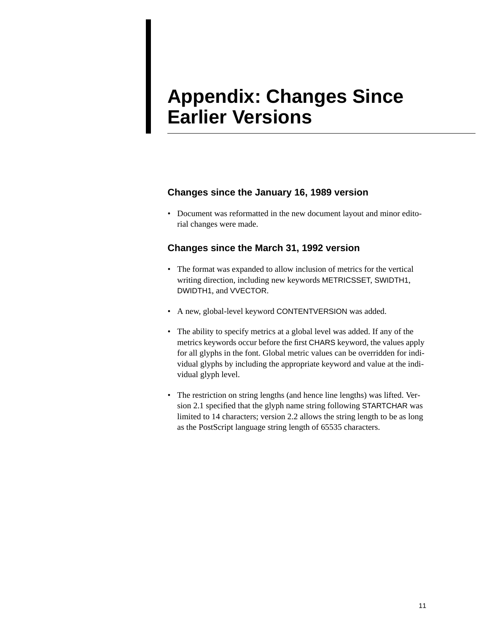# **Appendix: Changes Since Earlier Versions**

### **Changes since the January 16, 1989 version**

• Document was reformatted in the new document layout and minor editorial changes were made.

### **Changes since the March 31, 1992 version**

- The format was expanded to allow inclusion of metrics for the vertical writing direction, including new keywords METRICSSET, SWIDTH1, DWIDTH1, and VVECTOR.
- A new, global-level keyword CONTENTVERSION was added.
- The ability to specify metrics at a global level was added. If any of the metrics keywords occur before the first CHARS keyword, the values apply for all glyphs in the font. Global metric values can be overridden for individual glyphs by including the appropriate keyword and value at the individual glyph level.
- The restriction on string lengths (and hence line lengths) was lifted. Version 2.1 specified that the glyph name string following STARTCHAR was limited to 14 characters; version 2.2 allows the string length to be as long as the PostScript language string length of 65535 characters.